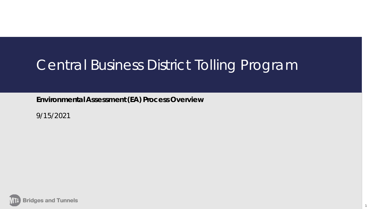## Central Business District Tolling Program

1

**Environmental Assessment (EA) Process Overview**

9/15/2021

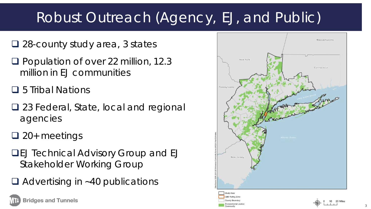# Robust Outreach (Agency, EJ, and Public)

- □ 28-county study area, 3 states
- **Q** Population of over 22 million, 12.3 million in EJ communities
- **□** 5 Tribal Nations
- **□ 23 Federal, State, local and regional** agencies
- $\Box$  20+ meetings
- **QEJ Technical Advisory Group and EJ** Stakeholder Working Group
- $\Box$  Advertising in ~40 publications

**Bridges and Tunnels** 

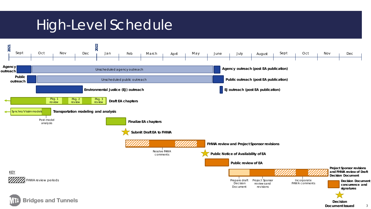## High-Level Schedule

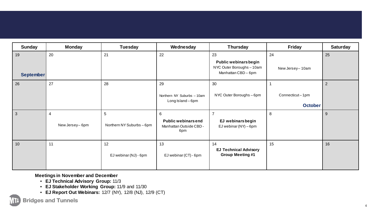| <b>Sunday</b>          | <b>Monday</b>                    | <b>Tuesday</b>                              | Wednesday                                                         | <b>Thursday</b>                                                                 | <b>Friday</b>                     | <b>Saturday</b> |
|------------------------|----------------------------------|---------------------------------------------|-------------------------------------------------------------------|---------------------------------------------------------------------------------|-----------------------------------|-----------------|
| 19<br><b>September</b> | 20                               | 21                                          | 22                                                                | 23<br>Public webinars begin<br>NYC Outer Boroughs - 10am<br>Manhattan CBD - 6pm | 24<br>New Jersey-10am             | 25              |
| 26                     | 27                               | 28                                          | 29<br>Northern NY Suburbs - 10am<br>Long Island-6pm               | 30<br>NYC Outer Boroughs - 6pm                                                  | Connecticut-1pm<br><b>October</b> | $\overline{2}$  |
| 3                      | $\overline{4}$<br>New Jersey-6pm | $\overline{5}$<br>Northern NY Suburbs - 6pm | 6<br><b>Public webinars end</b><br>Manhattan Outside CBD -<br>6pm | 7<br>EJ webinarsbegin<br>EJ webinar (NY) $-6$ pm                                | 8                                 | $9\,$           |
| 10                     | 11                               | 12<br>EJ webinar (NJ) - 6pm                 | 13<br>EJ webinar (CT) - 6pm                                       | 14<br><b>EJ Technical Advisory</b><br><b>Group Meeting #1</b>                   | 15                                | 16              |

**Meetings in November and December**

- **EJ Technical Advisory Group:** 11/3
- **EJ Stakeholder Working Group:** 11/9 and 11/30
- **EJ Report Out Webinars:** 12/7 (NY), 12/8 (NJ), 12/9 (CT)

**Bridges and Tunnels**